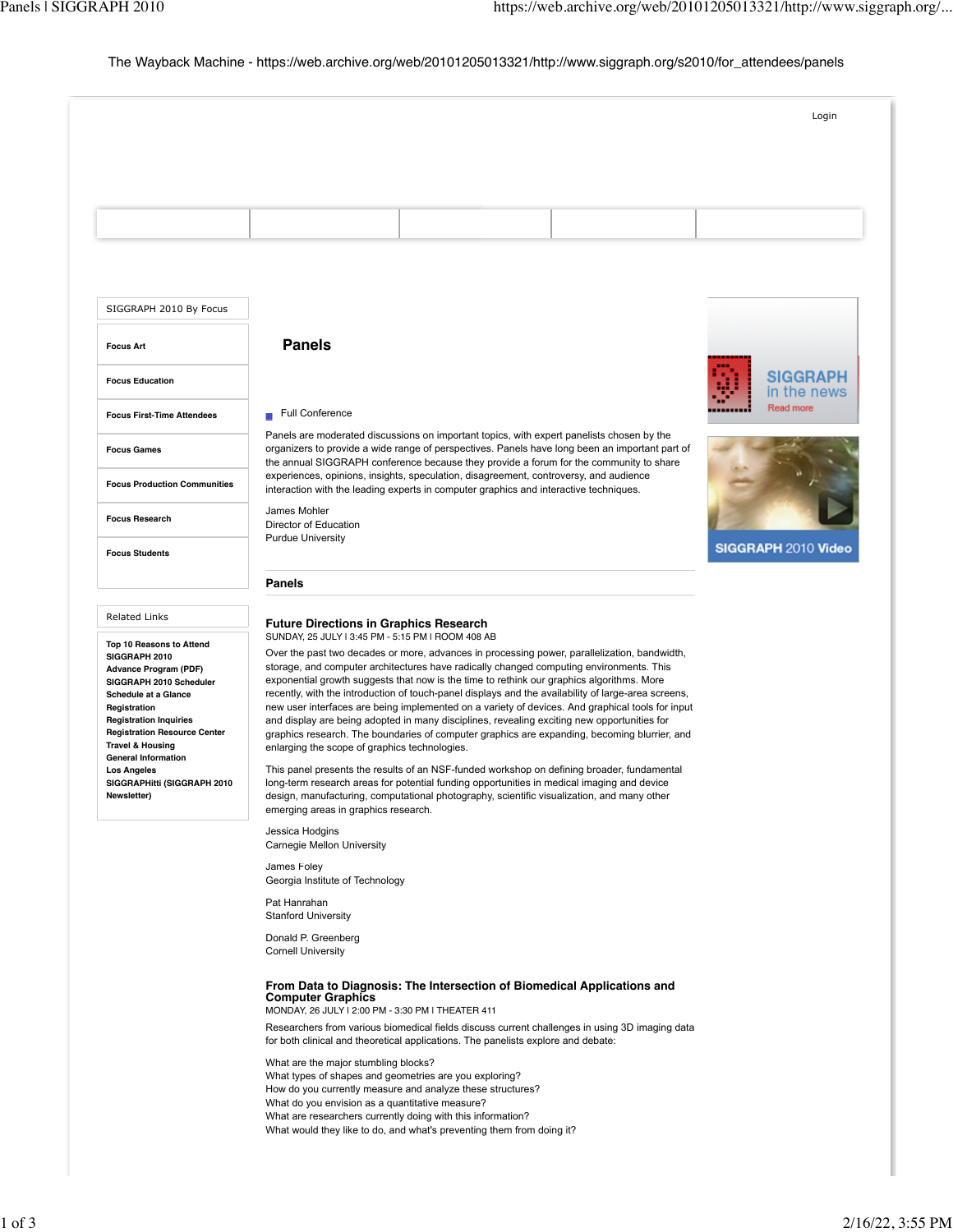# The Wayback Machine - https://web.archive.org/web/20101205013321/http://www.siggraph.org/s2010/for\_attendees/panels

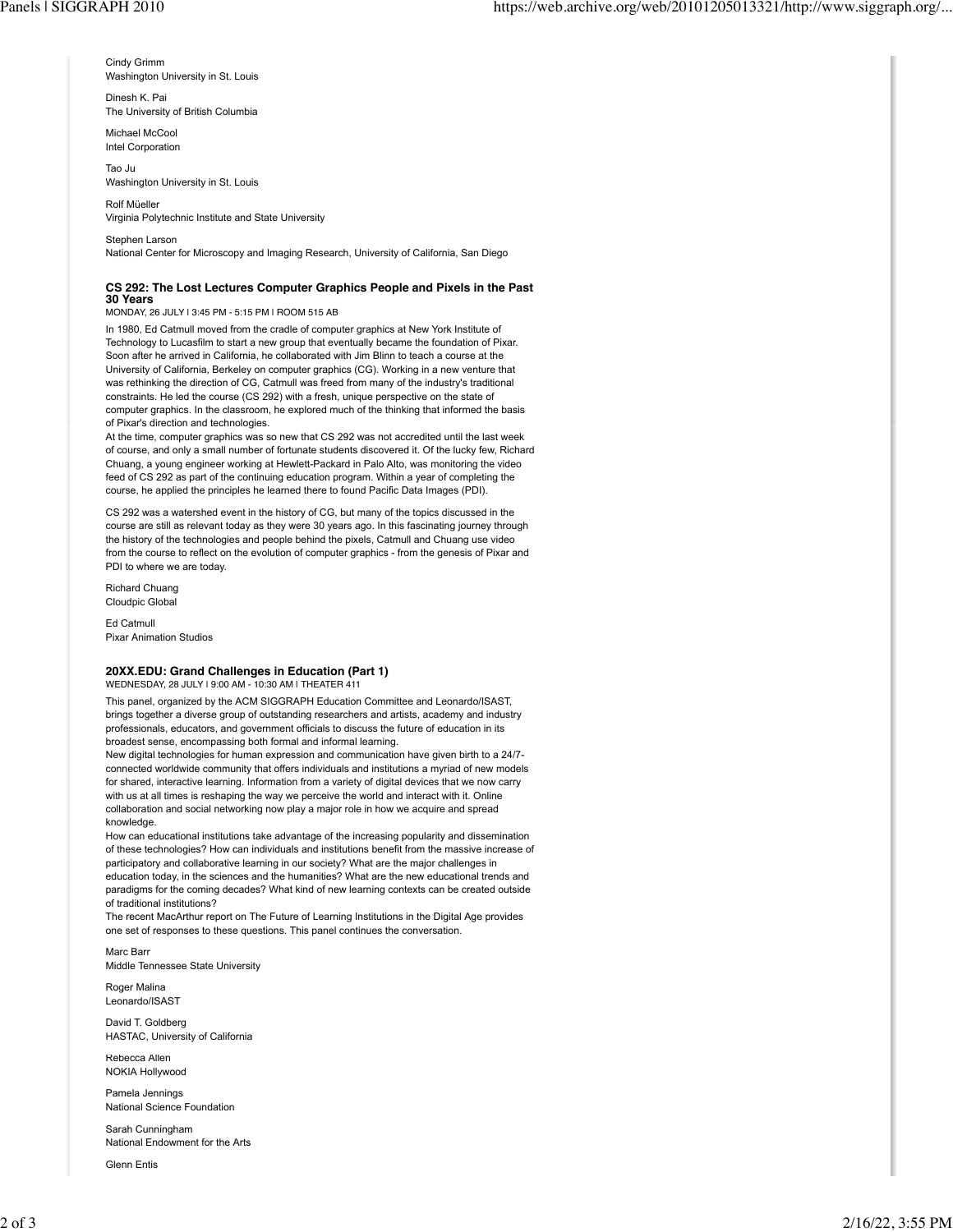Cindy Grimm Washington University in St. Louis

Dinesh K. Pai The University of British Columbia

Michael McCool Intel Corporation

Tao Ju Washington University in St. Louis

Rolf Müeller Virginia Polytechnic Institute and State University

Stephen Larson National Center for Microscopy and Imaging Research, University of California, San Diego

### **CS 292: The Lost Lectures Computer Graphics People and Pixels in the Past 30 Years**

MONDAY, 26 JULY | 3:45 PM - 5:15 PM | ROOM 515 AB

In 1980, Ed Catmull moved from the cradle of computer graphics at New York Institute of Technology to Lucasfilm to start a new group that eventually became the foundation of Pixar. Soon after he arrived in California, he collaborated with Jim Blinn to teach a course at the University of California, Berkeley on computer graphics (CG). Working in a new venture that was rethinking the direction of CG, Catmull was freed from many of the industry's traditional constraints. He led the course (CS 292) with a fresh, unique perspective on the state of computer graphics. In the classroom, he explored much of the thinking that informed the basis of Pixar's direction and technologies.

At the time, computer graphics was so new that CS 292 was not accredited until the last week of course, and only a small number of fortunate students discovered it. Of the lucky few, Richard Chuang, a young engineer working at Hewlett-Packard in Palo Alto, was monitoring the video feed of CS 292 as part of the continuing education program. Within a year of completing the course, he applied the principles he learned there to found Pacific Data Images (PDI).

CS 292 was a watershed event in the history of CG, but many of the topics discussed in the course are still as relevant today as they were 30 years ago. In this fascinating journey through the history of the technologies and people behind the pixels, Catmull and Chuang use video from the course to reflect on the evolution of computer graphics - from the genesis of Pixar and PDI to where we are today.

Richard Chuang Cloudpic Global

Ed Catmull Pixar Animation Studios

## **20XX.EDU: Grand Challenges in Education (Part 1)**

WEDNESDAY, 28 JULY | 9:00 AM - 10:30 AM | THEATER 411

This panel, organized by the ACM SIGGRAPH Education Committee and Leonardo/ISAST, brings together a diverse group of outstanding researchers and artists, academy and industry professionals, educators, and government officials to discuss the future of education in its broadest sense, encompassing both formal and informal learning.

New digital technologies for human expression and communication have given birth to a 24/7 connected worldwide community that offers individuals and institutions a myriad of new models for shared, interactive learning. Information from a variety of digital devices that we now carry with us at all times is reshaping the way we perceive the world and interact with it. Online collaboration and social networking now play a major role in how we acquire and spread knowledge.

How can educational institutions take advantage of the increasing popularity and dissemination of these technologies? How can individuals and institutions benefit from the massive increase of participatory and collaborative learning in our society? What are the major challenges in education today, in the sciences and the humanities? What are the new educational trends and paradigms for the coming decades? What kind of new learning contexts can be created outside of traditional institutions?

The recent MacArthur report on The Future of Learning Institutions in the Digital Age provides one set of responses to these questions. This panel continues the conversation.

Marc Barr Middle Tennessee State University

Roger Malina Leonardo/ISAST

David T. Goldberg HASTAC, University of California

Rebecca Allen NOKIA Hollywood

Pamela Jennings National Science Foundation

Sarah Cunningham National Endowment for the Arts

Glenn Entis